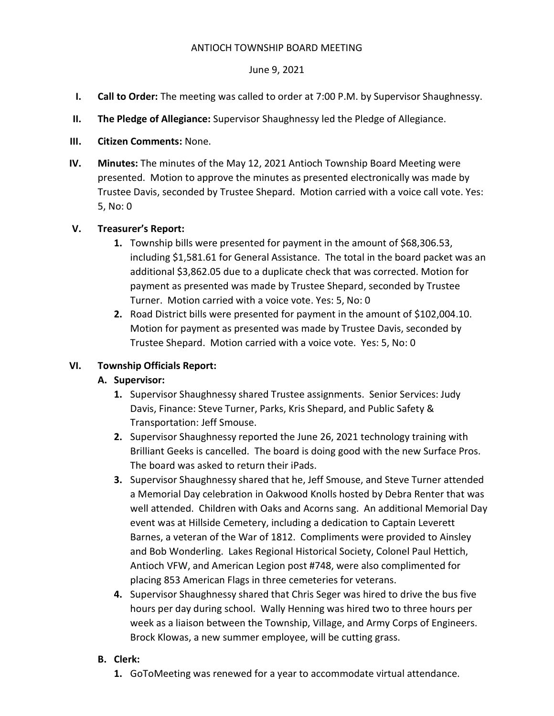#### ANTIOCH TOWNSHIP BOARD MEETING

### June 9, 2021

- I. Call to Order: The meeting was called to order at 7:00 P.M. by Supervisor Shaughnessy.
- II. The Pledge of Allegiance: Supervisor Shaughnessy led the Pledge of Allegiance.
- III. Citizen Comments: None.
- IV. Minutes: The minutes of the May 12, 2021 Antioch Township Board Meeting were presented. Motion to approve the minutes as presented electronically was made by Trustee Davis, seconded by Trustee Shepard. Motion carried with a voice call vote. Yes: 5, No: 0

# V. Treasurer's Report:

- 1. Township bills were presented for payment in the amount of \$68,306.53, including \$1,581.61 for General Assistance. The total in the board packet was an additional \$3,862.05 due to a duplicate check that was corrected. Motion for payment as presented was made by Trustee Shepard, seconded by Trustee Turner. Motion carried with a voice vote. Yes: 5, No: 0
- 2. Road District bills were presented for payment in the amount of \$102,004.10. Motion for payment as presented was made by Trustee Davis, seconded by Trustee Shepard. Motion carried with a voice vote. Yes: 5, No: 0

# VI. Township Officials Report:

### A. Supervisor:

- 1. Supervisor Shaughnessy shared Trustee assignments. Senior Services: Judy Davis, Finance: Steve Turner, Parks, Kris Shepard, and Public Safety & Transportation: Jeff Smouse.
- 2. Supervisor Shaughnessy reported the June 26, 2021 technology training with Brilliant Geeks is cancelled. The board is doing good with the new Surface Pros. The board was asked to return their iPads.
- 3. Supervisor Shaughnessy shared that he, Jeff Smouse, and Steve Turner attended a Memorial Day celebration in Oakwood Knolls hosted by Debra Renter that was well attended. Children with Oaks and Acorns sang. An additional Memorial Day event was at Hillside Cemetery, including a dedication to Captain Leverett Barnes, a veteran of the War of 1812. Compliments were provided to Ainsley and Bob Wonderling. Lakes Regional Historical Society, Colonel Paul Hettich, Antioch VFW, and American Legion post #748, were also complimented for placing 853 American Flags in three cemeteries for veterans.
- 4. Supervisor Shaughnessy shared that Chris Seger was hired to drive the bus five hours per day during school. Wally Henning was hired two to three hours per week as a liaison between the Township, Village, and Army Corps of Engineers. Brock Klowas, a new summer employee, will be cutting grass.

### B. Clerk:

1. GoToMeeting was renewed for a year to accommodate virtual attendance.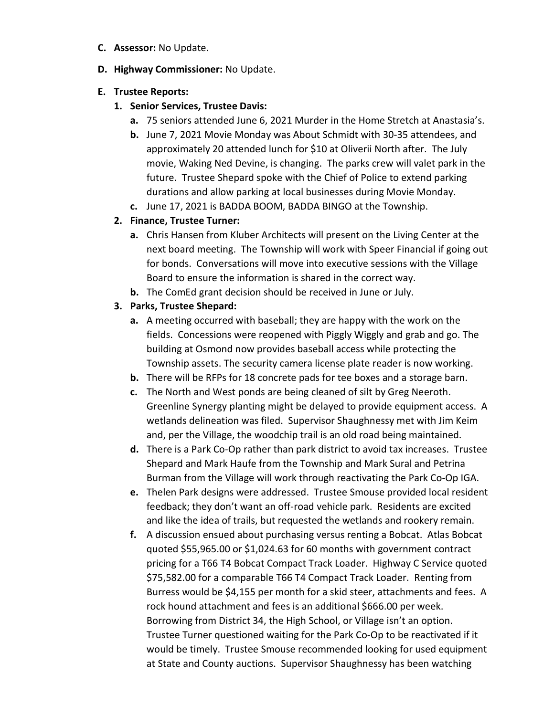- C. Assessor: No Update.
- D. Highway Commissioner: No Update.

#### E. Trustee Reports:

- 1. Senior Services, Trustee Davis:
	- a. 75 seniors attended June 6, 2021 Murder in the Home Stretch at Anastasia's.
	- b. June 7, 2021 Movie Monday was About Schmidt with 30-35 attendees, and approximately 20 attended lunch for \$10 at Oliverii North after. The July movie, Waking Ned Devine, is changing. The parks crew will valet park in the future. Trustee Shepard spoke with the Chief of Police to extend parking durations and allow parking at local businesses during Movie Monday.
	- c. June 17, 2021 is BADDA BOOM, BADDA BINGO at the Township.

# 2. Finance, Trustee Turner:

- a. Chris Hansen from Kluber Architects will present on the Living Center at the next board meeting. The Township will work with Speer Financial if going out for bonds. Conversations will move into executive sessions with the Village Board to ensure the information is shared in the correct way.
- **b.** The ComEd grant decision should be received in June or July.
- 3. Parks, Trustee Shepard:
	- a. A meeting occurred with baseball; they are happy with the work on the fields. Concessions were reopened with Piggly Wiggly and grab and go. The building at Osmond now provides baseball access while protecting the Township assets. The security camera license plate reader is now working.
	- b. There will be RFPs for 18 concrete pads for tee boxes and a storage barn.
	- c. The North and West ponds are being cleaned of silt by Greg Neeroth. Greenline Synergy planting might be delayed to provide equipment access. A wetlands delineation was filed. Supervisor Shaughnessy met with Jim Keim and, per the Village, the woodchip trail is an old road being maintained.
	- d. There is a Park Co-Op rather than park district to avoid tax increases. Trustee Shepard and Mark Haufe from the Township and Mark Sural and Petrina Burman from the Village will work through reactivating the Park Co-Op IGA.
	- e. Thelen Park designs were addressed. Trustee Smouse provided local resident feedback; they don't want an off-road vehicle park. Residents are excited and like the idea of trails, but requested the wetlands and rookery remain.
	- f. A discussion ensued about purchasing versus renting a Bobcat. Atlas Bobcat quoted \$55,965.00 or \$1,024.63 for 60 months with government contract pricing for a T66 T4 Bobcat Compact Track Loader. Highway C Service quoted \$75,582.00 for a comparable T66 T4 Compact Track Loader. Renting from Burress would be \$4,155 per month for a skid steer, attachments and fees. A rock hound attachment and fees is an additional \$666.00 per week. Borrowing from District 34, the High School, or Village isn't an option. Trustee Turner questioned waiting for the Park Co-Op to be reactivated if it would be timely. Trustee Smouse recommended looking for used equipment at State and County auctions. Supervisor Shaughnessy has been watching